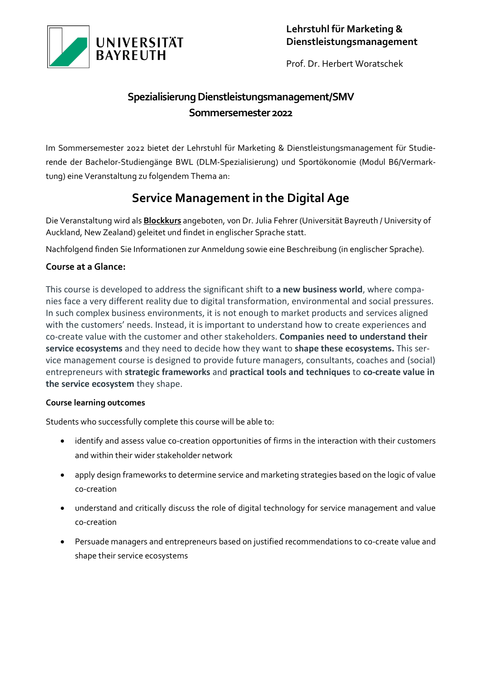

Prof. Dr. Herbert Woratschek

## Spezialisierung Dienstleistungsmanagement/SMV **Sommersemester 2022**

Im Sommersemester 2022 bietet der Lehrstuhl für Marketing & Dienstleistungsmanagement für Studierende der Bachelor-Studiengänge BWL (DLM-Spezialisierung) und Sportökonomie (Modul B6/Vermarktung) eine Veranstaltung zu folgendem Thema an:

# **Service Management in the Digital Age**

Die Veranstaltung wird als **Blockkurs** angeboten, von Dr. Julia Fehrer (Universität Bayreuth / University of Auckland, New Zealand) geleitet und findet in englischer Sprache statt.

Nachfolgend finden Sie Informationen zur Anmeldung sowie eine Beschreibung (in englischer Sprache).

## **Course at a Glance:**

This course is developed to address the significant shift to **a new business world**, where companies face a very different reality due to digital transformation, environmental and social pressures. In such complex business environments, it is not enough to market products and services aligned with the customers' needs. Instead, it is important to understand how to create experiences and co-create value with the customer and other stakeholders. **Companies need to understand their service ecosystems** and they need to decide how they want to **shape these ecosystems.** This service management course is designed to provide future managers, consultants, coaches and (social) entrepreneurs with **strategic frameworks** and **practical tools and techniques** to **co-create value in the service ecosystem** they shape.

### **Course learning outcomes**

Students who successfully complete this course will be able to:

- identify and assess value co-creation opportunities of firms in the interaction with their customers and within their wider stakeholder network
- apply design frameworks to determine service and marketing strategies based on the logic of value co-creation
- understand and critically discuss the role of digital technology for service management and value co-creation
- Persuade managers and entrepreneurs based on justified recommendations to co-create value and shape their service ecosystems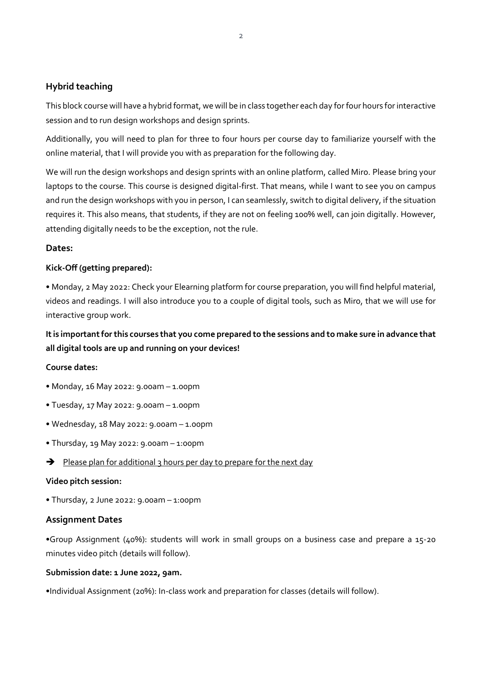## **Hybrid teaching**

This block course will have a hybrid format, we will be in class together each day for four hours for interactive session and to run design workshops and design sprints.

Additionally, you will need to plan for three to four hours per course day to familiarize yourself with the online material, that I will provide you with as preparation for the following day.

We will run the design workshops and design sprints with an online platform, called Miro. Please bring your laptops to the course. This course is designed digital-first. That means, while I want to see you on campus and run the design workshops with you in person, I can seamlessly, switch to digital delivery, if the situation requires it. This also means, that students, if they are not on feeling 100% well, can join digitally. However, attending digitally needs to be the exception, not the rule.

#### **Dates:**

#### **Kick-Off (getting prepared):**

**•** Monday, 2 May 2022: Check your Elearning platform for course preparation, you will find helpful material, videos and readings. I will also introduce you to a couple of digital tools, such as Miro, that we will use for interactive group work.

## **It is important forthis courses that you come prepared to the sessions and to make sure in advance that all digital tools are up and running on your devices!**

#### **Course dates:**

- Monday, 16 May 2022: 9.00am 1.00pm
- Tuesday, 17 May 2022: 9.00am 1.00pm
- Wednesday, 18 May 2022: 9.00am 1.00pm
- Thursday, 19 May 2022: 9.00am 1:00pm
- $\rightarrow$  Please plan for additional 3 hours per day to prepare for the next day

#### **Video pitch session:**

• Thursday, 2 June 2022: 9.00am – 1:00pm

#### **Assignment Dates**

**•**Group Assignment (40%): students will work in small groups on a business case and prepare a 15-20 minutes video pitch (details will follow).

## **Submission date: 1 June 2022, 9am.**

•Individual Assignment (20%): In-class work and preparation for classes (details will follow).